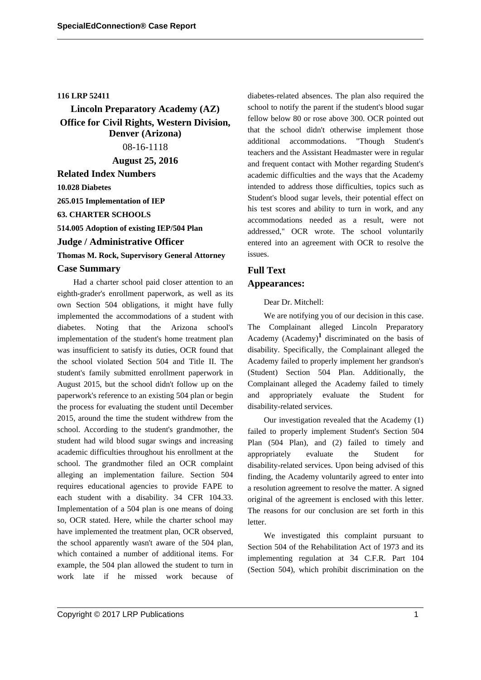### **116 LRP 52411**

**Lincoln Preparatory Academy (AZ) Office for Civil Rights, Western Division, Denver (Arizona)** 08-16-1118 **August 25, 2016**

**Related Index Numbers**

**10.028 Diabetes**

**265.015 Implementation of IEP**

**63. CHARTER SCHOOLS**

**514.005 Adoption of existing IEP/504 Plan**

**Judge / Administrative Officer**

**Thomas M. Rock, Supervisory General Attorney**

### **Case Summary**

Had a charter school paid closer attention to an eighth-grader's enrollment paperwork, as well as its own Section 504 obligations, it might have fully implemented the accommodations of a student with diabetes. Noting that the Arizona school's implementation of the student's home treatment plan was insufficient to satisfy its duties, OCR found that the school violated Section 504 and Title II. The student's family submitted enrollment paperwork in August 2015, but the school didn't follow up on the paperwork's reference to an existing 504 plan or begin the process for evaluating the student until December 2015, around the time the student withdrew from the school. According to the student's grandmother, the student had wild blood sugar swings and increasing academic difficulties throughout his enrollment at the school. The grandmother filed an OCR complaint alleging an implementation failure. Section 504 requires educational agencies to provide FAPE to each student with a disability. 34 CFR 104.33. Implementation of a 504 plan is one means of doing so, OCR stated. Here, while the charter school may have implemented the treatment plan, OCR observed, the school apparently wasn't aware of the 504 plan, which contained a number of additional items. For example, the 504 plan allowed the student to turn in work late if he missed work because of

Copyright © 2017 LRP Publications 1

diabetes-related absences. The plan also required the school to notify the parent if the student's blood sugar fellow below 80 or rose above 300. OCR pointed out that the school didn't otherwise implement those additional accommodations. "Though Student's teachers and the Assistant Headmaster were in regular and frequent contact with Mother regarding Student's academic difficulties and the ways that the Academy intended to address those difficulties, topics such as Student's blood sugar levels, their potential effect on his test scores and ability to turn in work, and any accommodations needed as a result, were not addressed," OCR wrote. The school voluntarily entered into an agreement with OCR to resolve the issues.

# **Full Text Appearances:**

Dear Dr. Mitchell:

We are notifying you of our decision in this case. The Complainant alleged Lincoln Preparatory Academy (Academy)**<sup>1</sup>** discriminated on the basis of disability. Specifically, the Complainant alleged the Academy failed to properly implement her grandson's (Student) Section 504 Plan. Additionally, the Complainant alleged the Academy failed to timely and appropriately evaluate the Student for disability-related services.

Our investigation revealed that the Academy (1) failed to properly implement Student's Section 504 Plan (504 Plan), and (2) failed to timely and appropriately evaluate the Student for disability-related services. Upon being advised of this finding, the Academy voluntarily agreed to enter into a resolution agreement to resolve the matter. A signed original of the agreement is enclosed with this letter. The reasons for our conclusion are set forth in this letter.

We investigated this complaint pursuant to Section 504 of the Rehabilitation Act of 1973 and its implementing regulation at 34 C.F.R. Part 104 (Section 504), which prohibit discrimination on the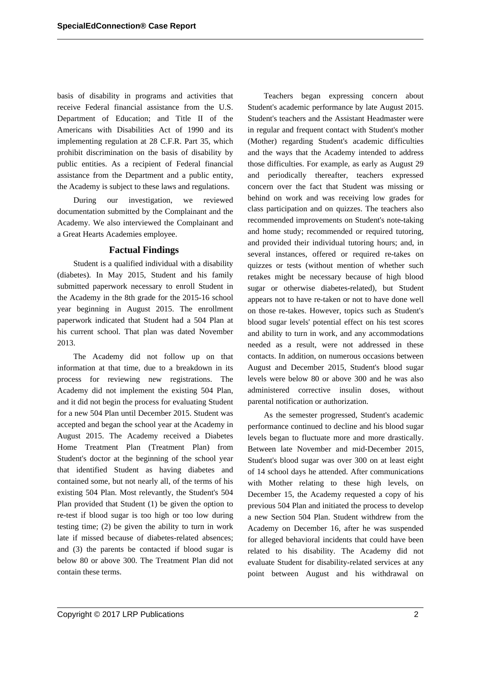basis of disability in programs and activities that receive Federal financial assistance from the U.S. Department of Education; and Title II of the Americans with Disabilities Act of 1990 and its implementing regulation at 28 C.F.R. Part 35, which prohibit discrimination on the basis of disability by public entities. As a recipient of Federal financial assistance from the Department and a public entity, the Academy is subject to these laws and regulations.

During our investigation, we reviewed documentation submitted by the Complainant and the Academy. We also interviewed the Complainant and a Great Hearts Academies employee.

# **Factual Findings**

Student is a qualified individual with a disability (diabetes). In May 2015, Student and his family submitted paperwork necessary to enroll Student in the Academy in the 8th grade for the 2015-16 school year beginning in August 2015. The enrollment paperwork indicated that Student had a 504 Plan at his current school. That plan was dated November 2013.

The Academy did not follow up on that information at that time, due to a breakdown in its process for reviewing new registrations. The Academy did not implement the existing 504 Plan, and it did not begin the process for evaluating Student for a new 504 Plan until December 2015. Student was accepted and began the school year at the Academy in August 2015. The Academy received a Diabetes Home Treatment Plan (Treatment Plan) from Student's doctor at the beginning of the school year that identified Student as having diabetes and contained some, but not nearly all, of the terms of his existing 504 Plan. Most relevantly, the Student's 504 Plan provided that Student (1) be given the option to re-test if blood sugar is too high or too low during testing time; (2) be given the ability to turn in work late if missed because of diabetes-related absences; and (3) the parents be contacted if blood sugar is below 80 or above 300. The Treatment Plan did not contain these terms.

Teachers began expressing concern about Student's academic performance by late August 2015. Student's teachers and the Assistant Headmaster were in regular and frequent contact with Student's mother (Mother) regarding Student's academic difficulties and the ways that the Academy intended to address those difficulties. For example, as early as August 29 and periodically thereafter, teachers expressed concern over the fact that Student was missing or behind on work and was receiving low grades for class participation and on quizzes. The teachers also recommended improvements on Student's note-taking and home study; recommended or required tutoring, and provided their individual tutoring hours; and, in several instances, offered or required re-takes on quizzes or tests (without mention of whether such retakes might be necessary because of high blood sugar or otherwise diabetes-related), but Student appears not to have re-taken or not to have done well on those re-takes. However, topics such as Student's blood sugar levels' potential effect on his test scores and ability to turn in work, and any accommodations needed as a result, were not addressed in these contacts. In addition, on numerous occasions between August and December 2015, Student's blood sugar levels were below 80 or above 300 and he was also administered corrective insulin doses, without parental notification or authorization.

As the semester progressed, Student's academic performance continued to decline and his blood sugar levels began to fluctuate more and more drastically. Between late November and mid-December 2015, Student's blood sugar was over 300 on at least eight of 14 school days he attended. After communications with Mother relating to these high levels, on December 15, the Academy requested a copy of his previous 504 Plan and initiated the process to develop a new Section 504 Plan. Student withdrew from the Academy on December 16, after he was suspended for alleged behavioral incidents that could have been related to his disability. The Academy did not evaluate Student for disability-related services at any point between August and his withdrawal on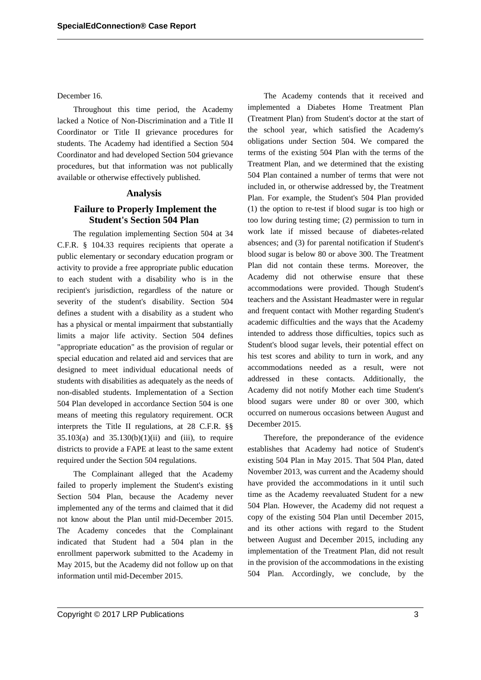December 16.

Throughout this time period, the Academy lacked a Notice of Non-Discrimination and a Title II Coordinator or Title II grievance procedures for students. The Academy had identified a Section 504 Coordinator and had developed Section 504 grievance procedures, but that information was not publically available or otherwise effectively published.

#### **Analysis**

# **Failure to Properly Implement the Student's Section 504 Plan**

The regulation implementing Section 504 at 34 C.F.R. § 104.33 requires recipients that operate a public elementary or secondary education program or activity to provide a free appropriate public education to each student with a disability who is in the recipient's jurisdiction, regardless of the nature or severity of the student's disability. Section 504 defines a student with a disability as a student who has a physical or mental impairment that substantially limits a major life activity. Section 504 defines "appropriate education" as the provision of regular or special education and related aid and services that are designed to meet individual educational needs of students with disabilities as adequately as the needs of non-disabled students. Implementation of a Section 504 Plan developed in accordance Section 504 is one means of meeting this regulatory requirement. OCR interprets the Title II regulations, at 28 C.F.R. §§ 35.103(a) and  $35.130(b)(1)(ii)$  and (iii), to require districts to provide a FAPE at least to the same extent required under the Section 504 regulations.

The Complainant alleged that the Academy failed to properly implement the Student's existing Section 504 Plan, because the Academy never implemented any of the terms and claimed that it did not know about the Plan until mid-December 2015. The Academy concedes that the Complainant indicated that Student had a 504 plan in the enrollment paperwork submitted to the Academy in May 2015, but the Academy did not follow up on that information until mid-December 2015.

The Academy contends that it received and implemented a Diabetes Home Treatment Plan (Treatment Plan) from Student's doctor at the start of the school year, which satisfied the Academy's obligations under Section 504. We compared the terms of the existing 504 Plan with the terms of the Treatment Plan, and we determined that the existing 504 Plan contained a number of terms that were not included in, or otherwise addressed by, the Treatment Plan. For example, the Student's 504 Plan provided (1) the option to re-test if blood sugar is too high or too low during testing time; (2) permission to turn in work late if missed because of diabetes-related absences; and (3) for parental notification if Student's blood sugar is below 80 or above 300. The Treatment Plan did not contain these terms. Moreover, the Academy did not otherwise ensure that these accommodations were provided. Though Student's teachers and the Assistant Headmaster were in regular and frequent contact with Mother regarding Student's academic difficulties and the ways that the Academy intended to address those difficulties, topics such as Student's blood sugar levels, their potential effect on his test scores and ability to turn in work, and any accommodations needed as a result, were not addressed in these contacts. Additionally, the Academy did not notify Mother each time Student's blood sugars were under 80 or over 300, which occurred on numerous occasions between August and December 2015.

Therefore, the preponderance of the evidence establishes that Academy had notice of Student's existing 504 Plan in May 2015. That 504 Plan, dated November 2013, was current and the Academy should have provided the accommodations in it until such time as the Academy reevaluated Student for a new 504 Plan. However, the Academy did not request a copy of the existing 504 Plan until December 2015, and its other actions with regard to the Student between August and December 2015, including any implementation of the Treatment Plan, did not result in the provision of the accommodations in the existing 504 Plan. Accordingly, we conclude, by the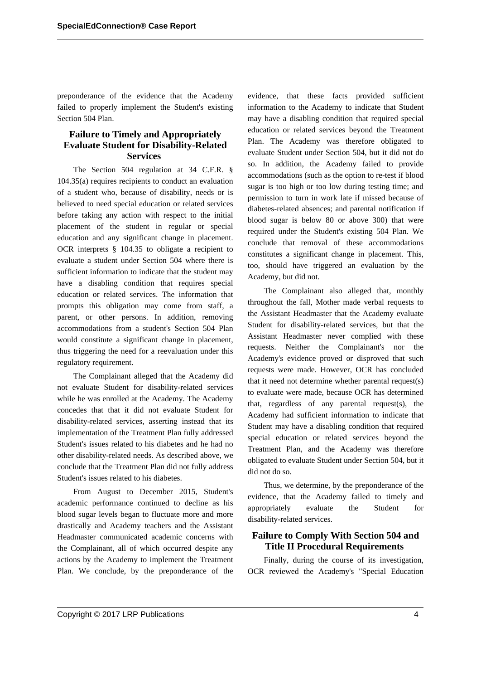preponderance of the evidence that the Academy failed to properly implement the Student's existing Section 504 Plan.

# **Failure to Timely and Appropriately Evaluate Student for Disability-Related Services**

The Section 504 regulation at 34 C.F.R. § 104.35(a) requires recipients to conduct an evaluation of a student who, because of disability, needs or is believed to need special education or related services before taking any action with respect to the initial placement of the student in regular or special education and any significant change in placement. OCR interprets § 104.35 to obligate a recipient to evaluate a student under Section 504 where there is sufficient information to indicate that the student may have a disabling condition that requires special education or related services. The information that prompts this obligation may come from staff, a parent, or other persons. In addition, removing accommodations from a student's Section 504 Plan would constitute a significant change in placement, thus triggering the need for a reevaluation under this regulatory requirement.

The Complainant alleged that the Academy did not evaluate Student for disability-related services while he was enrolled at the Academy. The Academy concedes that that it did not evaluate Student for disability-related services, asserting instead that its implementation of the Treatment Plan fully addressed Student's issues related to his diabetes and he had no other disability-related needs. As described above, we conclude that the Treatment Plan did not fully address Student's issues related to his diabetes.

From August to December 2015, Student's academic performance continued to decline as his blood sugar levels began to fluctuate more and more drastically and Academy teachers and the Assistant Headmaster communicated academic concerns with the Complainant, all of which occurred despite any actions by the Academy to implement the Treatment Plan. We conclude, by the preponderance of the evidence, that these facts provided sufficient information to the Academy to indicate that Student may have a disabling condition that required special education or related services beyond the Treatment Plan. The Academy was therefore obligated to evaluate Student under Section 504, but it did not do so. In addition, the Academy failed to provide accommodations (such as the option to re-test if blood sugar is too high or too low during testing time; and permission to turn in work late if missed because of diabetes-related absences; and parental notification if blood sugar is below 80 or above 300) that were required under the Student's existing 504 Plan. We conclude that removal of these accommodations constitutes a significant change in placement. This, too, should have triggered an evaluation by the Academy, but did not.

The Complainant also alleged that, monthly throughout the fall, Mother made verbal requests to the Assistant Headmaster that the Academy evaluate Student for disability-related services, but that the Assistant Headmaster never complied with these requests. Neither the Complainant's nor the Academy's evidence proved or disproved that such requests were made. However, OCR has concluded that it need not determine whether parental request(s) to evaluate were made, because OCR has determined that, regardless of any parental request(s), the Academy had sufficient information to indicate that Student may have a disabling condition that required special education or related services beyond the Treatment Plan, and the Academy was therefore obligated to evaluate Student under Section 504, but it did not do so.

Thus, we determine, by the preponderance of the evidence, that the Academy failed to timely and appropriately evaluate the Student for disability-related services.

# **Failure to Comply With Section 504 and Title II Procedural Requirements**

Finally, during the course of its investigation, OCR reviewed the Academy's "Special Education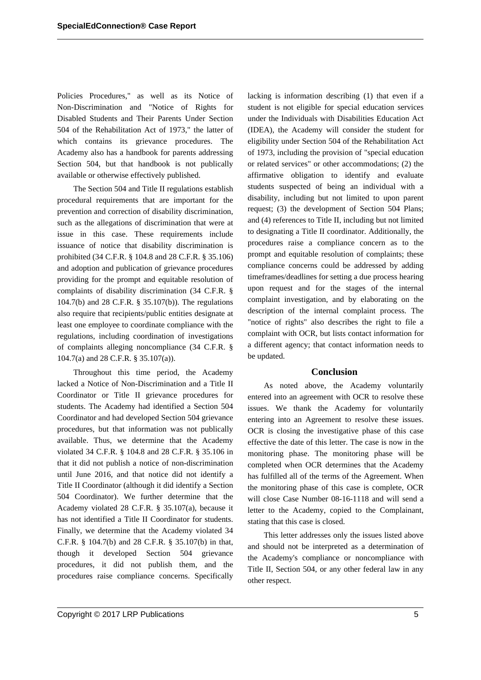Policies Procedures," as well as its Notice of Non-Discrimination and "Notice of Rights for Disabled Students and Their Parents Under Section 504 of the Rehabilitation Act of 1973," the latter of which contains its grievance procedures. The Academy also has a handbook for parents addressing Section 504, but that handbook is not publically available or otherwise effectively published.

The Section 504 and Title II regulations establish procedural requirements that are important for the prevention and correction of disability discrimination, such as the allegations of discrimination that were at issue in this case. These requirements include issuance of notice that disability discrimination is prohibited (34 C.F.R. § 104.8 and 28 C.F.R. § 35.106) and adoption and publication of grievance procedures providing for the prompt and equitable resolution of complaints of disability discrimination (34 C.F.R. § 104.7(b) and 28 C.F.R. § 35.107(b)). The regulations also require that recipients/public entities designate at least one employee to coordinate compliance with the regulations, including coordination of investigations of complaints alleging noncompliance (34 C.F.R. § 104.7(a) and 28 C.F.R. § 35.107(a)).

Throughout this time period, the Academy lacked a Notice of Non-Discrimination and a Title II Coordinator or Title II grievance procedures for students. The Academy had identified a Section 504 Coordinator and had developed Section 504 grievance procedures, but that information was not publically available. Thus, we determine that the Academy violated 34 C.F.R. § 104.8 and 28 C.F.R. § 35.106 in that it did not publish a notice of non-discrimination until June 2016, and that notice did not identify a Title II Coordinator (although it did identify a Section 504 Coordinator). We further determine that the Academy violated 28 C.F.R. § 35.107(a), because it has not identified a Title II Coordinator for students. Finally, we determine that the Academy violated 34 C.F.R. § 104.7(b) and 28 C.F.R. § 35.107(b) in that, though it developed Section 504 grievance procedures, it did not publish them, and the procedures raise compliance concerns. Specifically

lacking is information describing (1) that even if a student is not eligible for special education services under the Individuals with Disabilities Education Act (IDEA), the Academy will consider the student for eligibility under Section 504 of the Rehabilitation Act of 1973, including the provision of "special education or related services" or other accommodations; (2) the affirmative obligation to identify and evaluate students suspected of being an individual with a disability, including but not limited to upon parent request; (3) the development of Section 504 Plans; and (4) references to Title II, including but not limited to designating a Title II coordinator. Additionally, the procedures raise a compliance concern as to the prompt and equitable resolution of complaints; these compliance concerns could be addressed by adding timeframes/deadlines for setting a due process hearing upon request and for the stages of the internal complaint investigation, and by elaborating on the description of the internal complaint process. The "notice of rights" also describes the right to file a complaint with OCR, but lists contact information for a different agency; that contact information needs to be updated.

# **Conclusion**

As noted above, the Academy voluntarily entered into an agreement with OCR to resolve these issues. We thank the Academy for voluntarily entering into an Agreement to resolve these issues. OCR is closing the investigative phase of this case effective the date of this letter. The case is now in the monitoring phase. The monitoring phase will be completed when OCR determines that the Academy has fulfilled all of the terms of the Agreement. When the monitoring phase of this case is complete, OCR will close Case Number 08-16-1118 and will send a letter to the Academy, copied to the Complainant, stating that this case is closed.

This letter addresses only the issues listed above and should not be interpreted as a determination of the Academy's compliance or noncompliance with Title II, Section 504, or any other federal law in any other respect.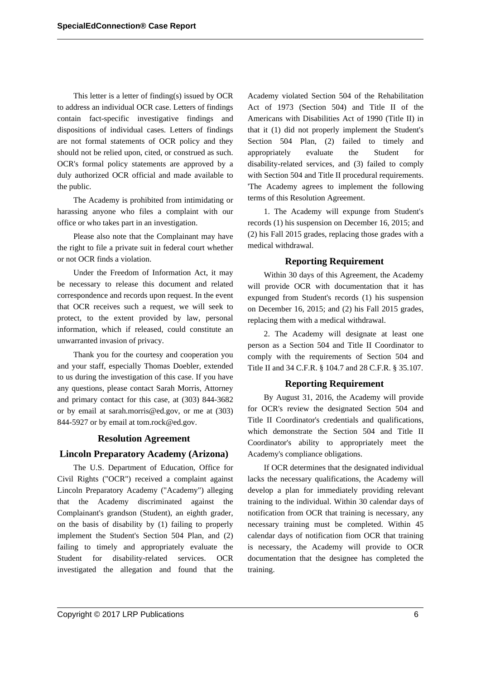This letter is a letter of finding(s) issued by OCR to address an individual OCR case. Letters of findings contain fact-specific investigative findings and dispositions of individual cases. Letters of findings are not formal statements of OCR policy and they should not be relied upon, cited, or construed as such. OCR's formal policy statements are approved by a duly authorized OCR official and made available to the public.

The Academy is prohibited from intimidating or harassing anyone who files a complaint with our office or who takes part in an investigation.

Please also note that the Complainant may have the right to file a private suit in federal court whether or not OCR finds a violation.

Under the Freedom of Information Act, it may be necessary to release this document and related correspondence and records upon request. In the event that OCR receives such a request, we will seek to protect, to the extent provided by law, personal information, which if released, could constitute an unwarranted invasion of privacy.

Thank you for the courtesy and cooperation you and your staff, especially Thomas Doebler, extended to us during the investigation of this case. If you have any questions, please contact Sarah Morris, Attorney and primary contact for this case, at (303) 844-3682 or by email at sarah.morris@ed.gov, or me at (303) 844-5927 or by email at tom.rock@ed.gov.

#### **Resolution Agreement**

#### **Lincoln Preparatory Academy (Arizona)**

The U.S. Department of Education, Office for Civil Rights ("OCR") received a complaint against Lincoln Preparatory Academy ("Academy") alleging that the Academy discriminated against the Complainant's grandson (Student), an eighth grader, on the basis of disability by (1) failing to properly implement the Student's Section 504 Plan, and (2) failing to timely and appropriately evaluate the Student for disability-related services. OCR investigated the allegation and found that the Academy violated Section 504 of the Rehabilitation Act of 1973 (Section 504) and Title II of the Americans with Disabilities Act of 1990 (Title II) in that it (1) did not properly implement the Student's Section 504 Plan, (2) failed to timely and appropriately evaluate the Student for disability-related services, and (3) failed to comply with Section 504 and Title II procedural requirements. 'The Academy agrees to implement the following terms of this Resolution Agreement.

1. The Academy will expunge from Student's records (1) his suspension on December 16, 2015; and (2) his Fall 2015 grades, replacing those grades with a medical withdrawal.

#### **Reporting Requirement**

Within 30 days of this Agreement, the Academy will provide OCR with documentation that it has expunged from Student's records (1) his suspension on December 16, 2015; and (2) his Fall 2015 grades, replacing them with a medical withdrawal.

2. The Academy will designate at least one person as a Section 504 and Title II Coordinator to comply with the requirements of Section 504 and Title II and 34 C.F.R. § 104.7 and 28 C.F.R. § 35.107.

#### **Reporting Requirement**

By August 31, 2016, the Academy will provide for OCR's review the designated Section 504 and Title II Coordinator's credentials and qualifications, which demonstrate the Section 504 and Title II Coordinator's ability to appropriately meet the Academy's compliance obligations.

If OCR determines that the designated individual lacks the necessary qualifications, the Academy will develop a plan for immediately providing relevant training to the individual. Within 30 calendar days of notification from OCR that training is necessary, any necessary training must be completed. Within 45 calendar days of notification fiom OCR that training is necessary, the Academy will provide to OCR documentation that the designee has completed the training.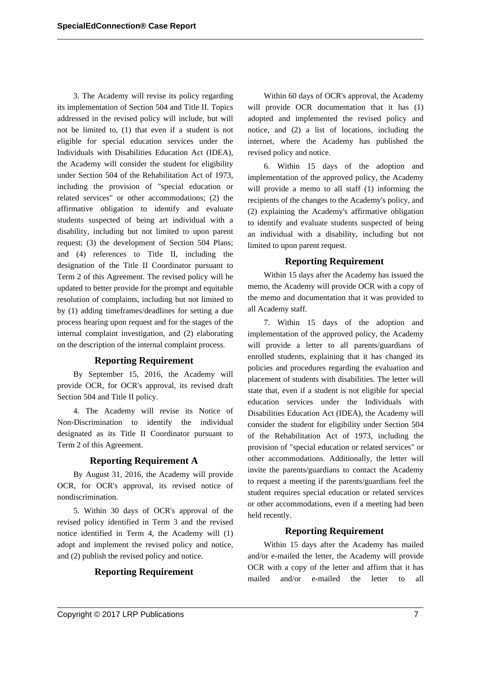3. The Academy will revise its policy regarding its implementation of Section 504 and Title II. Topics addressed in the revised policy will include, but will not be limited to, (1) that even if a student is not eligible for special education services under the Individuals with Disabilities Education Act (IDEA), the Academy will consider the student for eligibility under Section 504 of the Rehabilitation Act of 1973, including the provision of "special education or related services" or other accommodations; (2) the affirmative obligation to identify and evaluate students suspected of being art individual with a disability, including but not limited to upon parent request; (3) the development of Section 504 Plans; and (4) references to Title II, including the designation of the Title II Coordinator pursuant to Term 2 of this Agreement. The revised policy will he updated to better provide for the prompt and equitable resolution of complaints, including but not limited to by (1) adding timeframes/deadlines for setting a due process hearing upon request and for the stages of the internal complaint investigation, and (2) elaborating on the description of the internal complaint process.

# **Reporting Requirement**

By September 15, 2016, the Academy will provide OCR, for OCR's approval, its revised draft Section 504 and Title II policy.

4. The Academy will revise its Notice of Non-Discrimination to identify the individual designated as its Title II Coordinator pursuant to Term 2 of this Agreement.

### **Reporting Requirement A**

By August 31, 2016, the Academy will provide OCR, for OCR's approval, its revised notice of nondiscrimination.

5. Within 30 days of OCR's approval of the revised policy identified in Term 3 and the revised notice identified in Term 4, the Academy will (1) adopt and implement the revised policy and notice, and (2) publish the revised policy and notice.

# **Reporting Requirement**

Within 60 days of OCR's approval, the Academy will provide OCR documentation that it has  $(1)$ adopted and implemented the revised policy and notice, and (2) a list of locations, including the internet, where the Academy has published the revised policy and notice.

6. Within 15 days of the adoption and implementation of the approved policy, the Academy will provide a memo to all staff (1) informing the recipients of the changes to the Academy's policy, and (2) explaining the Academy's affirmative obligation to identify and evaluate students suspected of being an individual with a disability, including but not limited to upon parent request.

### **Reporting Requirement**

Within 15 days after the Academy has issued the memo, the Academy will provide OCR with a copy of the memo and documentation that it was provided to all Academy staff.

7. Within 15 days of the adoption and implementation of the approved policy, the Academy will provide a letter to all parents/guardians of enrolled students, explaining that it has changed its policies and procedures regarding the evaluation and placement of students with disabilities. The letter will state that, even if a student is not eligible for special education services under the Individuals with Disabilities Education Act (IDEA), the Academy will consider the student for eligibility under Section 504 of the Rehabilitation Act of 1973, including the provision of "special education or related services" or other accommodations. Additionally, the letter will invite the parents/guardians to contact the Academy to request a meeting if the parents/guardians feel the student requires special education or related services or other accommodations, even if a meeting had been held recently.

### **Reporting Requirement**

Within 15 days after the Academy has mailed and/or e-mailed the letter, the Academy will provide OCR with a copy of the letter and affirm that it has mailed and/or e-mailed the letter to all